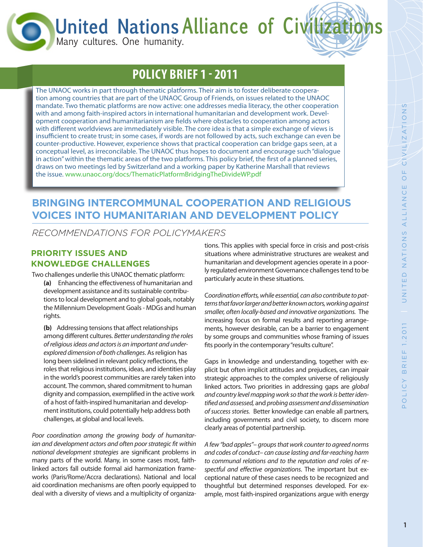**United Nations Alliance of Civ** 

Many cultures. One humanity.

# **POLICY BRIEF 1 - 2011**

The UNAOC works in part through thematic platforms. Their aim is to foster deliberate cooperation among countries that are part of the UNAOC Group of Friends, on issues related to the UNAOC mandate. Two thematic platforms are now active: one addresses media literacy, the other cooperation with and among faith-inspired actors in international humanitarian and development work. Development cooperation and humanitarianism are fields where obstacles to cooperation among actors with different worldviews are immediately visible. The core idea is that a simple exchange of views is insufficient to create trust; in some cases, if words are not followed by acts, such exchange can even be counter-productive. However, experience shows that practical cooperation can bridge gaps seen, at a conceptual level, as irreconcilable. The UNAOC thus hopes to document and encourage such "dialogue in action" within the thematic areas of the two platforms. This policy brief, the first of a planned series, draws on two meetings led by Switzerland and a working paper by Katherine Marshall that reviews the issue. www.unaoc.org/docs/ThematicPlatformBridgingTheDivideWP.pdf

### **BRINGING INTERCOMMUNAL COOPERATION AND RELIGIOUS VOICES INTO HUMANITARIAN AND DEVELOPMENT POLICY**

*RECOMMENDATIONS FOR POLICYMAKERS*

### **PRIORITY ISSUES AND KNOWLEDGE CHALLENGES**

Two challenges underlie this UNAOC thematic platform: **(a)** Enhancing the effectiveness of humanitarian and development assistance and its sustainable contribu-

tions to local development and to global goals, notably the Millennium Development Goals - MDGs and human rights.

**(b)** Addressing tensions that affect relationships among different cultures. *Better understanding the roles of religious ideas and actors is an important and underexplored dimension of both challenges*. As religion has long been sidelined in relevant policy reflections, the roles that religious institutions, ideas, and identities play in the world's poorest communities are rarely taken into account. The common, shared commitment to human dignity and compassion, exemplified in the active work of a host of faith-inspired humanitarian and development institutions, could potentially help address both challenges, at global and local levels.

*Poor coordination among the growing body of humanitarian and development actors and often poor strategic fit within national development strategies* are significant problems in many parts of the world. Many, in some cases most, faithlinked actors fall outside formal aid harmonization frameworks (Paris/Rome/Accra declarations). National and local aid coordination mechanisms are often poorly equipped to deal with a diversity of views and a multiplicity of organizations. This applies with special force in crisis and post-crisis situations where administrative structures are weakest and humanitarian and development agencies operate in a poorly regulated environment Governance challenges tend to be particularly acute in these situations.

C*oordination efforts, while essential, can also contribute to patterns that favor larger and better known actors, working against smaller, often locally-based and innovative organizations.* The increasing focus on formal results and reporting arrangements, however desirable, can be a barrier to engagement by some groups and communities whose framing of issues fits poorly in the contemporary "results culture".

Gaps in knowledge and understanding, together with explicit but often implicit attitudes and prejudices, can impair strategic approaches to the complex universe of religiously linked actors. Two priorities in addressing gaps are *global and country level mapping work so that the work is better identified and assessed,* and *probing assessment and dissemination of success stories.* Better knowledge can enable all partners, including governments and civil society, to discern more clearly areas of potential partnership.

*A few "bad apples"*– *groups that work counter to agreed norms and codes of conduct*– *can cause lasting and far-reaching harm to communal relations and to the reputation and roles of respectful and effective organizations*. The important but exceptional nature of these cases needs to be recognized and thoughtful but determined responses developed. For example, most faith-inspired organizations argue with energy